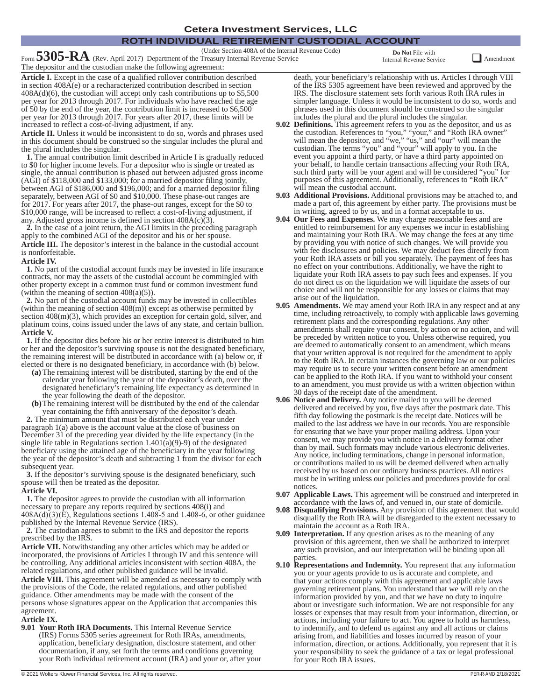#### **ROTH INDIVIDUAL RETIREMENT CUSTODIAL ACCOUNT Cetera Investment Services, LLC**

### (Under Section 408A of the Internal Revenue Code)

Form **5305-RA** (Rev. April 2017) Department of the Treasury Internal Revenue Service The depositor and the custodian make the following agreement:

**Article I.** Except in the case of a qualified rollover contribution described in section 408A(e) or a recharacterized contribution described in section  $408A(d)(6)$ , the custodian will accept only cash contributions up to \$5,500 per year for 2013 through 2017. For individuals who have reached the age of 50 by the end of the year, the contribution limit is increased to \$6,500 per year for 2013 through 2017. For years after 2017, these limits will be increased to reflect a cost-of-living adjustment, if any.

**Article II.** Unless it would be inconsistent to do so, words and phrases used in this document should be construed so the singular includes the plural and the plural includes the singular.

**1.** The annual contribution limit described in Article I is gradually reduced to \$0 for higher income levels. For a depositor who is single or treated as single, the annual contribution is phased out between adjusted gross income (AGI) of \$118,000 and \$133,000; for a married depositor filing jointly, between AGI of \$186,000 and \$196,000; and for a married depositor filing separately, between AGI of \$0 and \$10,000. These phase-out ranges are for 2017. For years after 2017, the phase-out ranges, except for the \$0 to \$10,000 range, will be increased to reflect a cost-of-living adjustment, if any. Adjusted gross income is defined in section  $408A(c)(3)$ .

**2.** In the case of a joint return, the AGI limits in the preceding paragraph apply to the combined AGI of the depositor and his or her spouse. **Article III.** The depositor's interest in the balance in the custodial account is nonforfeitable.

#### **Article IV.**

**1.** No part of the custodial account funds may be invested in life insurance contracts, nor may the assets of the custodial account be commingled with other property except in a common trust fund or common investment fund (within the meaning of section  $408(a)(5)$ ).

**2.** No part of the custodial account funds may be invested in collectibles (within the meaning of section  $408(m)$ ) except as otherwise permitted by section 408(m)(3), which provides an exception for certain gold, silver, and platinum coins, coins issued under the laws of any state, and certain bullion. **Article V.**

**1.** If the depositor dies before his or her entire interest is distributed to him or her and the depositor's surviving spouse is not the designated beneficiary, the remaining interest will be distributed in accordance with (a) below or, if elected or there is no designated beneficiary, in accordance with (b) below.

- **(a)** The remaining interest will be distributed, starting by the end of the calendar year following the year of the depositor's death, over the designated beneficiary's remaining life expectancy as determined in the year following the death of the depositor.
- **(b)**The remaining interest will be distributed by the end of the calendar year containing the fifth anniversary of the depositor's death.

**2.** The minimum amount that must be distributed each year under paragraph 1(a) above is the account value at the close of business on December 31 of the preceding year divided by the life expectancy (in the single life table in Regulations section  $1.401(a)(9)-9$  of the designated beneficiary using the attained age of the beneficiary in the year following the year of the depositor's death and subtracting 1 from the divisor for each subsequent year.

**3.** If the depositor's surviving spouse is the designated beneficiary, such spouse will then be treated as the depositor.

#### **Article VI.**

**1.** The depositor agrees to provide the custodian with all information necessary to prepare any reports required by sections 408(i) and  $408A(d)(3)$ (E), Regulations sections 1.408-5 and 1.408-6, or other guidance published by the Internal Revenue Service (IRS).

**2.** The custodian agrees to submit to the IRS and depositor the reports prescribed by the IRS.

**Article VII.** Notwithstanding any other articles which may be added or incorporated, the provisions of Articles I through IV and this sentence will be controlling. Any additional articles inconsistent with section 408A, the related regulations, and other published guidance will be invalid.

**Article VIII.** This agreement will be amended as necessary to comply with the provisions of the Code, the related regulations, and other published guidance. Other amendments may be made with the consent of the persons whose signatures appear on the Application that accompanies this agreement.

#### **Article IX.**

**9.01 Your Roth IRA Documents.** This Internal Revenue Service (IRS) Forms 5305 series agreement for Roth IRAs, amendments, application, beneficiary designation, disclosure statement, and other documentation, if any, set forth the terms and conditions governing your Roth individual retirement account (IRA) and your or, after your **Do Not** File with

Internal Revenue Service **Amendment** 

includes the plural and the plural includes the singular. **9.02 Definitions.** This agreement refers to you as the depositor, and us as the custodian. References to "you," "your," and "Roth IRA owner" will mean the depositor, and "we," "us," and "our" will mean the custodian. The terms "you" and "your" will apply to you. In the event you appoint a third party, or have a third party appointed on your behalf, to handle certain transactions affecting your Roth IRA, such third party will be your agent and will be considered "you" for purposes of this agreement. Additionally, references to "Roth IRA" will mean the custodial account.

phrases used in this document should be construed so the singular

- **9.03 Additional Provisions.** Additional provisions may be attached to, and made a part of, this agreement by either party. The provisions must be in writing, agreed to by us, and in a format acceptable to us.
- **9.04 Our Fees and Expenses.** We may charge reasonable fees and are entitled to reimbursement for any expenses we incur in establishing and maintaining your Roth IRA. We may change the fees at any time by providing you with notice of such changes. We will provide you with fee disclosures and policies. We may deduct fees directly from your Roth IRA assets or bill you separately. The payment of fees has no effect on your contributions. Additionally, we have the right to liquidate your Roth IRA assets to pay such fees and expenses. If you do not direct us on the liquidation we will liquidate the assets of our choice and will not be responsible for any losses or claims that may arise out of the liquidation.
- **9.05 Amendments.** We may amend your Roth IRA in any respect and at any time, including retroactively, to comply with applicable laws governing retirement plans and the corresponding regulations. Any other amendments shall require your consent, by action or no action, and will be preceded by written notice to you. Unless otherwise required, you are deemed to automatically consent to an amendment, which means that your written approval is not required for the amendment to apply to the Roth IRA. In certain instances the governing law or our policies may require us to secure your written consent before an amendment can be applied to the Roth IRA. If you want to withhold your consent to an amendment, you must provide us with a written objection within 30 days of the receipt date of the amendment.
- **9.06 Notice and Delivery.** Any notice mailed to you will be deemed delivered and received by you, five days after the postmark date. This fifth day following the postmark is the receipt date. Notices will be mailed to the last address we have in our records. You are responsible for ensuring that we have your proper mailing address. Upon your consent, we may provide you with notice in a delivery format other than by mail. Such formats may include various electronic deliveries. Any notice, including terminations, change in personal information, or contributions mailed to us will be deemed delivered when actually received by us based on our ordinary business practices. All notices must be in writing unless our policies and procedures provide for oral notices.
- **9.07 Applicable Laws.** This agreement will be construed and interpreted in accordance with the laws of, and venued in, our state of domicile.
- **9.08 Disqualifying Provisions.** Any provision of this agreement that would disqualify the Roth IRA will be disregarded to the extent necessary to maintain the account as a Roth IRA.
- **9.09 Interpretation.** If any question arises as to the meaning of any provision of this agreement, then we shall be authorized to interpret any such provision, and our interpretation will be binding upon all parties.
- **9.10 Representations and Indemnity.** You represent that any information you or your agents provide to us is accurate and complete, and that your actions comply with this agreement and applicable laws governing retirement plans. You understand that we will rely on the information provided by you, and that we have no duty to inquire about or investigate such information. We are not responsible for any losses or expenses that may result from your information, direction, or actions, including your failure to act. You agree to hold us harmless, to indemnify, and to defend us against any and all actions or claims arising from, and liabilities and losses incurred by reason of your information, direction, or actions. Additionally, you represent that it is your responsibility to seek the guidance of a tax or legal professional for your Roth IRA issues.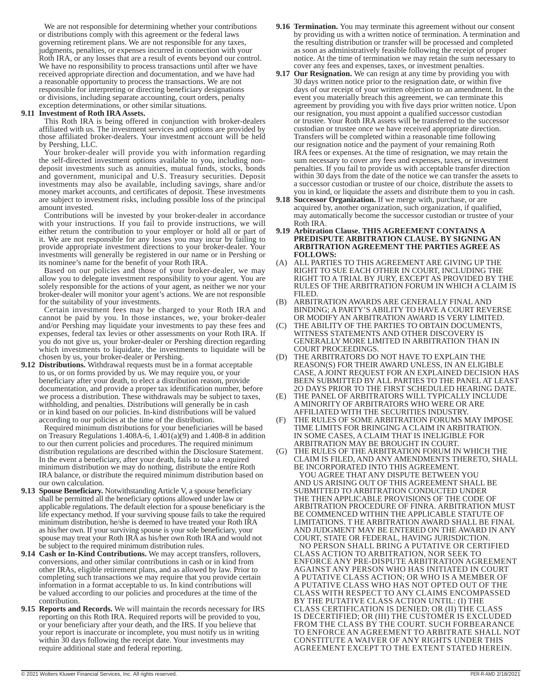We are not responsible for determining whether your contributions or distributions comply with this agreement or the federal laws governing retirement plans. We are not responsible for any taxes, judgments, penalties, or expenses incurred in connection with your Roth IRA, or any losses that are a result of events beyond our control. We have no responsibility to process transactions until after we have received appropriate direction and documentation, and we have had a reasonable opportunity to process the transactions. We are not responsible for interpreting or directing beneficiary designations or divisions, including separate accounting, court orders, penalty exception determinations, or other similar situations.

#### **9.11 Investment of Roth IRA Assets.**

This Roth IRA is being offered in conjunction with broker-dealers affiliated with us. The investment services and options are provided by those affiliated broker-dealers. Your investment account will be held by Pershing, LLC.

Your broker-dealer will provide you with information regarding the self-directed investment options available to you, including nondeposit investments such as annuities, mutual funds, stocks, bonds and government, municipal and U.S. Treasury securities. Deposit investments may also be available, including savings, share and/or money market accounts, and certificates of deposit. These investments are subject to investment risks, including possible loss of the principal amount invested.

Contributions will be invested by your broker-dealer in accordance with your instructions. If you fail to provide instructions, we will either return the contribution to your employer or hold all or part of it. We are not responsible for any losses you may incur by failing to provide appropriate investment directions to your broker-dealer. Your investments will generally be registered in our name or in Pershing or its nominee's name for the benefit of your Roth IRA.

Based on our policies and those of your broker-dealer, we may allow you to delegate investment responsibility to your agent. You are solely responsible for the actions of your agent, as neither we nor your broker-dealer will monitor your agent's actions. We are not responsible for the suitability of your investments.

Certain investment fees may be charged to your Roth IRA and cannot be paid by you. In those instances, we, your broker-dealer and/or Pershing may liquidate your investments to pay these fees and expenses, federal tax levies or other assessments on your Roth IRA. If you do not give us, your broker-dealer or Pershing direction regarding which investments to liquidate, the investments to liquidate will be chosen by us, your broker-dealer or Pershing.

**9.12 Distributions.** Withdrawal requests must be in a format acceptable to us, or on forms provided by us. We may require you, or your beneficiary after your death, to elect a distribution reason, provide documentation, and provide a proper tax identification number, before we process a distribution. These withdrawals may be subject to taxes, withholding, and penalties. Distributions will generally be in cash or in kind based on our policies. In-kind distributions will be valued according to our policies at the time of the distribution.

Required minimum distributions for your beneficiaries will be based on Treasury Regulations 1.408A-6,  $1.\overline{4}01(a)(9)$  and  $1.408-8$  in addition to our then current policies and procedures. The required minimum distribution regulations are described within the Disclosure Statement. In the event a beneficiary, after your death, fails to take a required minimum distribution we may do nothing, distribute the entire Roth IRA balance, or distribute the required minimum distribution based on our own calculation.

- **9.13 Spouse Beneficiary.** Notwithstanding Article V, a spouse beneficiary shall be permitted all the beneficiary options allowed under law or applicable regulations. The default election for a spouse beneficiary is the life expectancy method. If your surviving spouse fails to take the required minimum distribution, he/she is deemed to have treated your Roth IRA as his/her own. If your surviving spouse is your sole beneficiary, your spouse may treat your Roth IRA as his/her own Roth IRA and would not be subject to the required minimum distribution rules.
- **9.14 Cash or In-Kind Contributions.** We may accept transfers, rollovers, conversions, and other similar contributions in cash or in kind from other IRAs, eligible retirement plans, and as allowed by law. Prior to completing such transactions we may require that you provide certain information in a format acceptable to us. In kind contributions will be valued according to our policies and procedures at the time of the contribution.
- **9.15 Reports and Records.** We will maintain the records necessary for IRS reporting on this Roth IRA. Required reports will be provided to you, or your beneficiary after your death, and the IRS. If you believe that your report is inaccurate or incomplete, you must notify us in writing within 30 days following the receipt date. Your investments may require additional state and federal reporting.
- **9.16 Termination.** You may terminate this agreement without our consent by providing us with a written notice of termination. A termination and the resulting distribution or transfer will be processed and completed as soon as administratively feasible following the receipt of proper notice. At the time of termination we may retain the sum necessary to cover any fees and expenses, taxes, or investment penalties.
- **9.17 Our Resignation.** We can resign at any time by providing you with 30 days written notice prior to the resignation date, or within five days of our receipt of your written objection to an amendment. In the event you materially breach this agreement, we can terminate this agreement by providing you with five days prior written notice. Upon our resignation, you must appoint a qualified successor custodian or trustee. Your Roth IRA assets will be transferred to the successor custodian or trustee once we have received appropriate direction. Transfers will be completed within a reasonable time following our resignation notice and the payment of your remaining Roth IRA fees or expenses. At the time of resignation, we may retain the sum necessary to cover any fees and expenses, taxes, or investment penalties. If you fail to provide us with acceptable transfer direction within 30 days from the date of the notice we can transfer the assets to a successor custodian or trustee of our choice, distribute the assets to you in kind, or liquidate the assets and distribute them to you in cash.
- **9.18 Successor Organization.** If we merge with, purchase, or are acquired by, another organization, such organization, if qualified, may automatically become the successor custodian or trustee of your Roth IRA.
- **9.19 Arbitration Clause. THIS AGREEMENT CONTAINS A PREDISPUTE ARBITRATION CLAUSE. BY SIGNING AN ARBITRATION AGREEMENT THE PARTIES AGREE AS FOLLOWS:**
- (A) ALL PARTIES TO THIS AGREEMENT ARE GIVING UP THE RIGHT TO SUE EACH OTHER IN COURT, INCLUDING THE RIGHT TO A TRIAL BY JURY, EXCEPT AS PROVIDED BY THE RULES OF THE ARBITRATION FORUM IN WHICH A CLAIM IS FILED.
- (B) ARBITRATION AWARDS ARE GENERALLY FINAL AND BINDING; A PARTY'S ABILITY TO HAVE A COURT REVERSE OR MODIFY AN ARBITRATION AWARD IS VERY LIMITED.
- THE ABILITY OF THE PARTIES TO OBTAIN DOCUMENTS, WITNESS STATEMENTS AND OTHER DISCOVERY IS GENERALLY MORE LIMITED IN ARBITRATION THAN IN COURT PROCEEDINGS.
- (D) THE ARBITRATORS DO NOT HAVE TO EXPLAIN THE REASON(S) FOR THEIR AWARD UNLESS, IN AN ELIGIBLE CASE, A JOINT REQUEST FOR AN EXPLAINED DECISION HAS BEEN SUBMITTED BY ALL PARTIES TO THE PANEL AT LEAST 2O DAYS PRIOR TO THE FIRST SCHEDULED HEARING DATE.
- (E) THE PANEL OF ARBITRATORS WILL TYPICALLY INCLUDE A MINORITY OF ARBITRATORS WHO WERE OR ARE AFFILIATED WITH THE SECURITIES INDUSTRY.
- THE RULES OF SOME ARBITRATION FORUMS MAY IMPOSE TIME LIMITS FOR BRINGING A CLAIM IN ARBITRATION. IN SOME CASES, A CLAIM THAT IS INELIGIBLE FOR ARBITRATION MAY BE BROUGHT IN COURT.
- (G) THE RULES OF THE ARBITRATION FORUM IN WHICH THE CLAIM IS FILED, AND ANY AMENDMENTS THERETO, SHALL BE INCORPORATED INTO THIS AGREEMENT.

YOU AGREE THAT ANY DISPUTE BETWEEN YOU AND US ARISING OUT OF THIS AGREEMENT SHALL BE SUBMITTED TO ARBITRATION CONDUCTED UNDER THE THEN APPLICABLE PROVISIONS OF THE CODE OF ARBITRATION PROCEDURE OF FINRA. ARBITRATION MUST BE COMMENCED WITHIN THE APPLICABLE STATUTE OF LIMITATIONS. T HE ARBITRATION AWARD SHALL BE FINAL AND JUDGMENT MAY BE ENTERED ON THE AWARD IN ANY COURT, STATE OR FEDERAL, HAVING JURISDICTION.

NO PERSON SHALL BRING A PUTATIVE OR CERTIFIED CLASS ACTION TO ARBITRATION, NOR SEEK TO ENFORCE ANY PRE-DISPUTE ARBITRATION AGREEMENT AGAINST ANY PERSON WHO HAS INITIATED IN COURT A PUTATIVE CLASS ACTION; OR WHO IS A MEMBER OF A PUTATIVE CLASS WHO HAS NOT OPTED OUT OF THE CLASS WITH RESPECT TO ANY CLAIMS ENCOMPASSED BY THE PUTATIVE CLASS ACTION UNTIL: (I) THE CLASS CERTIFICATION IS DENIED; OR (II) THE CLASS IS DECERTIFIED; OR (III) THE CUSTOMER IS EXCLUDED FROM THE CLASS BY THE COURT. SUCH FORBEARANCE TO ENFORCE AN AGREEMENT TO ARBITRATE SHALL NOT CONSTITUTE A WAIVER OF ANY RIGHTS UNDER THIS AGREEMENT EXCEPT TO THE EXTENT STATED HEREIN.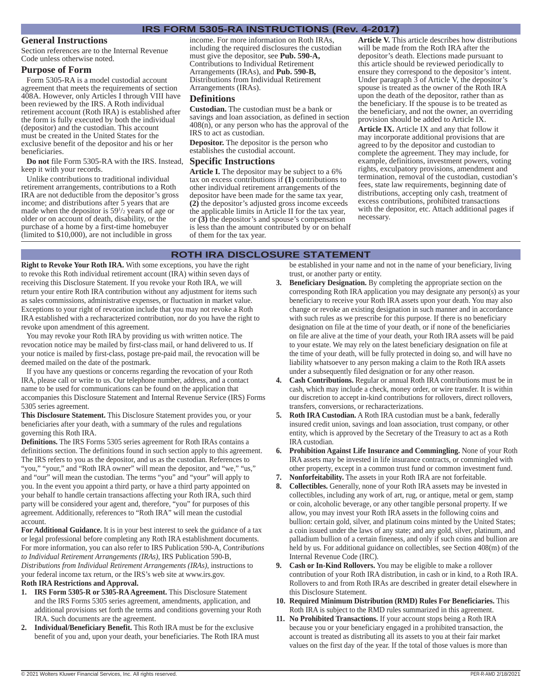## **IRS FORM 5305-RA INSTRUCTIONS (Rev. 4-2017)**

#### **General Instructions**

Section references are to the Internal Revenue Code unless otherwise noted.

#### **Purpose of Form**

Form 5305-RA is a model custodial account agreement that meets the requirements of section 408A. However, only Articles I through VIII have been reviewed by the IRS. A Roth individual retirement account (Roth IRA) is established after the form is fully executed by both the individual (depositor) and the custodian. This account must be created in the United States for the exclusive benefit of the depositor and his or her beneficiaries.

**Do not** file Form 5305-RA with the IRS. Instead, keep it with your records.

Unlike contributions to traditional individual retirement arrangements, contributions to a Roth IRA are not deductible from the depositor's gross income; and distributions after 5 years that are made when the depositor is  $59\frac{1}{2}$  years of age or older or on account of death, disability, or the purchase of a home by a first-time homebuyer (limited to \$10,000), are not includible in gross

income. For more information on Roth IRAs, including the required disclosures the custodian must give the depositor, see **Pub. 590-A,** Contributions to Individual Retirement Arrangements (IRAs), and **Pub. 590-B,** Distributions from Individual Retirement Arrangements (IRAs).

#### **Definitions**

**Custodian.** The custodian must be a bank or savings and loan association, as defined in section  $408(n)$ , or any person who has the approval of the IRS to act as custodian.

**Depositor.** The depositor is the person who establishes the custodial account.

#### **Specific Instructions**

**Article I.** The depositor may be subject to a 6% tax on excess contributions if **(1)** contributions to other individual retirement arrangements of the depositor have been made for the same tax year, **(2)** the depositor's adjusted gross income exceeds the applicable limits in Article II for the tax year, or **(3)** the depositor's and spouse's compensation is less than the amount contributed by or on behalf of them for the tax year.

**Article V.** This article describes how distributions will be made from the Roth IRA after the depositor's death. Elections made pursuant to this article should be reviewed periodically to ensure they correspond to the depositor's intent. Under paragraph  $\hat{3}$  of Article V, the depositor's spouse is treated as the owner of the Roth IRA upon the death of the depositor, rather than as the beneficiary. If the spouse is to be treated as the beneficiary, and not the owner, an overriding provision should be added to Article IX.

**Article IX.** Article IX and any that follow it may incorporate additional provisions that are agreed to by the depositor and custodian to complete the agreement. They may include, for example, definitions, investment powers, voting rights, exculpatory provisions, amendment and termination, removal of the custodian, custodian's fees, state law requirements, beginning date of distributions, accepting only cash, treatment of excess contributions, prohibited transactions with the depositor, etc. Attach additional pages if necessary.

## **ROTH IRA DISCLOSURE STATEMENT**

**Right to Revoke Your Roth IRA.** With some exceptions, you have the right to revoke this Roth individual retirement account (IRA) within seven days of receiving this Disclosure Statement. If you revoke your Roth IRA, we will return your entire Roth IRA contribution without any adjustment for items such as sales commissions, administrative expenses, or fluctuation in market value. Exceptions to your right of revocation include that you may not revoke a Roth IRA established with a recharacterized contribution, nor do you have the right to revoke upon amendment of this agreement.

You may revoke your Roth IRA by providing us with written notice. The revocation notice may be mailed by first-class mail, or hand delivered to us. If your notice is mailed by first-class, postage pre-paid mail, the revocation will be deemed mailed on the date of the postmark.

If you have any questions or concerns regarding the revocation of your Roth IRA, please call or write to us. Our telephone number, address, and a contact name to be used for communications can be found on the application that accompanies this Disclosure Statement and Internal Revenue Service (IRS) Forms 5305 series agreement.

**This Disclosure Statement.** This Disclosure Statement provides you, or your beneficiaries after your death, with a summary of the rules and regulations governing this Roth IRA.

**Definitions.** The IRS Forms 5305 series agreement for Roth IRAs contains a definitions section. The definitions found in such section apply to this agreement. The IRS refers to you as the depositor, and us as the custodian. References to "you," "your," and "Roth IRA owner" will mean the depositor, and "we," "us," and "our" will mean the custodian. The terms "you" and "your" will apply to you. In the event you appoint a third party, or have a third party appointed on your behalf to handle certain transactions affecting your Roth IRA, such third party will be considered your agent and, therefore, "you" for purposes of this agreement. Additionally, references to "Roth IRA" will mean the custodial account.

**For Additional Guidance.** It is in your best interest to seek the guidance of a tax or legal professional before completing any Roth IRA establishment documents. For more information, you can also refer to IRS Publication 590-A, *Contributions to Individual Retirement Arrangements (IRAs)*, IRS Publication 590-B, *Distributions from Individual Retirement Arrangements (IRAs)*, instructions to your federal income tax return, or the IRS's web site at www.irs.gov. **Roth IRA Restrictions and Approval.**

#### **1. IRS Form 5305-R or 5305-RA Agreement.** This Disclosure Statement and the IRS Forms 5305 series agreement, amendments, application, and additional provisions set forth the terms and conditions governing your Roth IRA. Such documents are the agreement.

**2. Individual/Beneficiary Benefit.** This Roth IRA must be for the exclusive benefit of you and, upon your death, your beneficiaries. The Roth IRA must be established in your name and not in the name of your beneficiary, living trust, or another party or entity.

- **3. Beneficiary Designation.** By completing the appropriate section on the corresponding Roth IRA application you may designate any person(s) as your beneficiary to receive your Roth IRA assets upon your death. You may also change or revoke an existing designation in such manner and in accordance with such rules as we prescribe for this purpose. If there is no beneficiary designation on file at the time of your death, or if none of the beneficiaries on file are alive at the time of your death, your Roth IRA assets will be paid to your estate. We may rely on the latest beneficiary designation on file at the time of your death, will be fully protected in doing so, and will have no liability whatsoever to any person making a claim to the Roth IRA assets under a subsequently filed designation or for any other reason.
- **4. Cash Contributions.** Regular or annual Roth IRA contributions must be in cash, which may include a check, money order, or wire transfer. It is within our discretion to accept in-kind contributions for rollovers, direct rollovers, transfers, conversions, or recharacterizations.
- **5. Roth IRA Custodian.** A Roth IRA custodian must be a bank, federally insured credit union, savings and loan association, trust company, or other entity, which is approved by the Secretary of the Treasury to act as a Roth IRA custodian.
- **6. Prohibition Against Life Insurance and Commingling.** None of your Roth IRA assets may be invested in life insurance contracts, or commingled with other property, except in a common trust fund or common investment fund.
- **7. Nonforfeitability.** The assets in your Roth IRA are not forfeitable.
- **8. Collectibles.** Generally, none of your Roth IRA assets may be invested in collectibles, including any work of art, rug, or antique, metal or gem, stamp or coin, alcoholic beverage, or any other tangible personal property. If we allow, you may invest your Roth IRA assets in the following coins and bullion: certain gold, silver, and platinum coins minted by the United States; a coin issued under the laws of any state; and any gold, silver, platinum, and palladium bullion of a certain fineness, and only if such coins and bullion are held by us. For additional guidance on collectibles, see Section 408(m) of the Internal Revenue Code (IRC).
- **9. Cash or In-Kind Rollovers.** You may be eligible to make a rollover contribution of your Roth IRA distribution, in cash or in kind, to a Roth IRA. Rollovers to and from Roth IRAs are described in greater detail elsewhere in this Disclosure Statement.
- **10. Required Minimum Distribution (RMD) Rules For Beneficiaries.** This Roth IRA is subject to the RMD rules summarized in this agreement.
- **11. No Prohibited Transactions.** If your account stops being a Roth IRA because you or your beneficiary engaged in a prohibited transaction, the account is treated as distributing all its assets to you at their fair market values on the first day of the year. If the total of those values is more than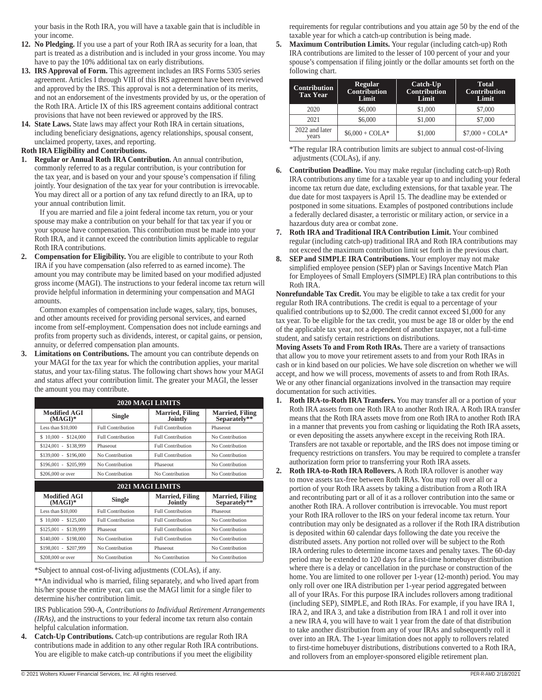your basis in the Roth IRA, you will have a taxable gain that is includible in your income.

- **12. No Pledging.** If you use a part of your Roth IRA as security for a loan, that part is treated as a distribution and is included in your gross income. You may have to pay the 10% additional tax on early distributions.
- **13. IRS Approval of Form.** This agreement includes an IRS Forms 5305 series agreement. Articles I through VIII of this IRS agreement have been reviewed and approved by the IRS. This approval is not a determination of its merits, and not an endorsement of the investments provided by us, or the operation of the Roth IRA. Article IX of this IRS agreement contains additional contract provisions that have not been reviewed or approved by the IRS.
- **14. State Laws.** State laws may affect your Roth IRA in certain situations, including beneficiary designations, agency relationships, spousal consent, unclaimed property, taxes, and reporting.

#### **Roth IRA Eligibility and Contributions.**

**1. Regular or Annual Roth IRA Contribution.** An annual contribution, commonly referred to as a regular contribution, is your contribution for the tax year, and is based on your and your spouse's compensation if filing jointly. Your designation of the tax year for your contribution is irrevocable. You may direct all or a portion of any tax refund directly to an IRA, up to your annual contribution limit.

If you are married and file a joint federal income tax return, you or your spouse may make a contribution on your behalf for that tax year if you or your spouse have compensation. This contribution must be made into your Roth IRA, and it cannot exceed the contribution limits applicable to regular Roth IRA contributions.

**2. Compensation for Eligibility.** You are eligible to contribute to your Roth IRA if you have compensation (also referred to as earned income). The amount you may contribute may be limited based on your modified adjusted gross income (MAGI). The instructions to your federal income tax return will provide helpful information in determining your compensation and MAGI amounts.

Common examples of compensation include wages, salary, tips, bonuses, and other amounts received for providing personal services, and earned income from self-employment. Compensation does not include earnings and profits from property such as dividends, interest, or capital gains, or pension, annuity, or deferred compensation plan amounts.

**3. Limitations on Contributions.** The amount you can contribute depends on your MAGI for the tax year for which the contribution applies, your marital status, and your tax-filing status. The following chart shows how your MAGI and status affect your contribution limit. The greater your MAGI, the lesser the amount you may contribute.

| <b>2020 MAGI LIMITS</b>    |                          |                                   |                                        |  |
|----------------------------|--------------------------|-----------------------------------|----------------------------------------|--|
| Modified AGI<br>$(MAGI)^*$ | <b>Single</b>            | <b>Married, Filing</b><br>Jointly | <b>Married, Filing</b><br>Separately** |  |
| Less than \$10,000         | <b>Full Contribution</b> | <b>Full Contribution</b>          | Phaseout                               |  |
| $$10,000 - $124,000$       | <b>Full Contribution</b> | <b>Full Contribution</b>          | No Contribution                        |  |
| \$124,001 - \$138,999      | Phaseout                 | <b>Full Contribution</b>          | No Contribution                        |  |
| $$139,000 - $196,000$      | No Contribution          | <b>Full Contribution</b>          | No Contribution                        |  |
| $$196,001 - $205,999$      | No Contribution          | Phaseout                          | No Contribution                        |  |
| \$206,000 or over          | No Contribution          | No Contribution                   | No Contribution                        |  |
| <b>2021 MAGI LIMITS</b>    |                          |                                   |                                        |  |
|                            |                          |                                   |                                        |  |
| Modified AGI<br>$(MAGI)^*$ | <b>Single</b>            | <b>Married, Filing</b><br>Jointly | <b>Married, Filing</b><br>Separately** |  |
| Less than $$10,000$        | <b>Full Contribution</b> | <b>Full Contribution</b>          | Phaseout                               |  |
| $$10,000 - $125,000$       | <b>Full Contribution</b> | <b>Full Contribution</b>          | No Contribution                        |  |
| $$125.001 -$<br>\$139,999  | Phaseout                 | <b>Full Contribution</b>          | No Contribution                        |  |
| $$140,000 -$<br>\$198,000  | No Contribution          | <b>Full Contribution</b>          | No Contribution                        |  |
| \$198,001 - \$207,999      | No Contribution          | Phaseout                          | No Contribution                        |  |

\*Subject to annual cost-of-living adjustments (COLAs), if any.

\*\*An individual who is married, filing separately, and who lived apart from his/her spouse the entire year, can use the MAGI limit for a single filer to determine his/her contribution limit.

IRS Publication 590-A, *Contributions to Individual Retirement Arrangements (IRAs)*, and the instructions to your federal income tax return also contain helpful calculation information.

**4. Catch-Up Contributions.** Catch-up contributions are regular Roth IRA contributions made in addition to any other regular Roth IRA contributions. You are eligible to make catch-up contributions if you meet the eligibility

requirements for regular contributions and you attain age 50 by the end of the taxable year for which a catch-up contribution is being made.

**5. Maximum Contribution Limits.** Your regular (including catch-up) Roth IRA contributions are limited to the lesser of 100 percent of your and your spouse's compensation if filing jointly or the dollar amounts set forth on the following chart.

| <b>Contribution</b><br><b>Tax Year</b> | <b>Regular</b><br><b>Contribution</b><br>Limit | Catch-Up<br>Contribution<br>Limit | <b>Total</b><br><b>Contribution</b><br>Limit |
|----------------------------------------|------------------------------------------------|-----------------------------------|----------------------------------------------|
| 2020                                   | \$6,000                                        | \$1,000                           | \$7,000                                      |
| 2021                                   | \$6,000                                        | \$1,000                           | \$7,000                                      |
| 2022 and later<br>vears                | $$6,000 + COLA*$                               | \$1,000                           | $$7,000 + COLA*$                             |

\*The regular IRA contribution limits are subject to annual cost-of-living adjustments (COLAs), if any.

- **6. Contribution Deadline.** You may make regular (including catch-up) Roth IRA contributions any time for a taxable year up to and including your federal income tax return due date, excluding extensions, for that taxable year. The due date for most taxpayers is April 15. The deadline may be extended or postponed in some situations. Examples of postponed contributions include a federally declared disaster, a terroristic or military action, or service in a hazardous duty area or combat zone.
- **7. Roth IRA and Traditional IRA Contribution Limit.** Your combined regular (including catch-up) traditional IRA and Roth IRA contributions may not exceed the maximum contribution limit set forth in the previous chart.
- **8. SEP and SIMPLE IRA Contributions.** Your employer may not make simplified employee pension (SEP) plan or Savings Incentive Match Plan for Employees of Small Employers (SIMPLE) IRA plan contributions to this Roth IRA.

**Nonrefundable Tax Credit.** You may be eligible to take a tax credit for your regular Roth IRA contributions. The credit is equal to a percentage of your qualified contributions up to \$2,000. The credit cannot exceed \$1,000 for any tax year. To be eligible for the tax credit, you must be age 18 or older by the end of the applicable tax year, not a dependent of another taxpayer, not a full-time student, and satisfy certain restrictions on distributions.

**Moving Assets To and From Roth IRAs.** There are a variety of transactions that allow you to move your retirement assets to and from your Roth IRAs in cash or in kind based on our policies. We have sole discretion on whether we will accept, and how we will process, movements of assets to and from Roth IRAs. We or any other financial organizations involved in the transaction may require documentation for such activities.

- **1. Roth IRA-to-Roth IRA Transfers.** You may transfer all or a portion of your Roth IRA assets from one Roth IRA to another Roth IRA. A Roth IRA transfer means that the Roth IRA assets move from one Roth IRA to another Roth IRA in a manner that prevents you from cashing or liquidating the Roth IRA assets, or even depositing the assets anywhere except in the receiving Roth IRA. Transfers are not taxable or reportable, and the IRS does not impose timing or frequency restrictions on transfers. You may be required to complete a transfer authorization form prior to transferring your Roth IRA assets.
- **2. Roth IRA-to-Roth IRA Rollovers.** A Roth IRA rollover is another way to move assets tax-free between Roth IRAs. You may roll over all or a portion of your Roth IRA assets by taking a distribution from a Roth IRA and recontributing part or all of it as a rollover contribution into the same or another Roth IRA. A rollover contribution is irrevocable. You must report your Roth IRA rollover to the IRS on your federal income tax return. Your contribution may only be designated as a rollover if the Roth IRA distribution is deposited within 60 calendar days following the date you receive the distributed assets. Any portion not rolled over will be subject to the Roth IRA ordering rules to determine income taxes and penalty taxes. The 60-day period may be extended to 120 days for a first-time homebuyer distribution where there is a delay or cancellation in the purchase or construction of the home. You are limited to one rollover per 1-year (12-month) period. You may only roll over one IRA distribution per 1-year period aggregated between all of your IRAs. For this purpose IRA includes rollovers among traditional (including SEP), SIMPLE, and Roth IRAs. For example, if you have IRA 1, IRA 2, and IRA 3, and take a distribution from IRA 1 and roll it over into a new IRA 4, you will have to wait 1 year from the date of that distribution to take another distribution from any of your IRAs and subsequently roll it over into an IRA. The 1-year limitation does not apply to rollovers related to first-time homebuyer distributions, distributions converted to a Roth IRA, and rollovers from an employer-sponsored eligible retirement plan.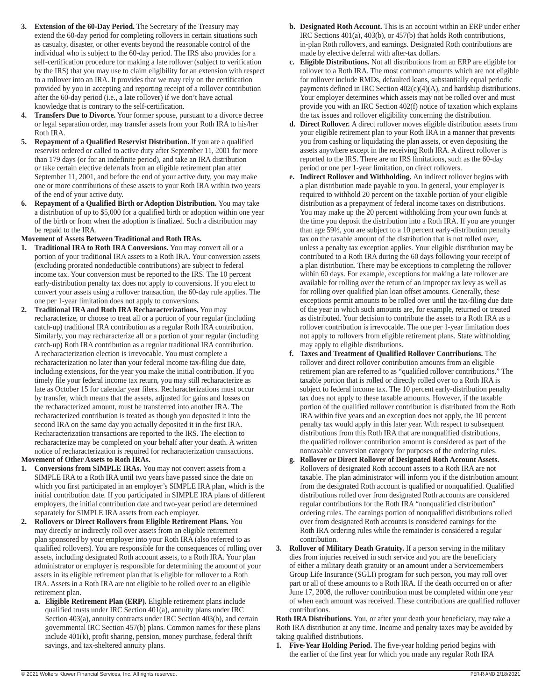- **3. Extension of the 60-Day Period.** The Secretary of the Treasury may extend the 60-day period for completing rollovers in certain situations such as casualty, disaster, or other events beyond the reasonable control of the individual who is subject to the 60-day period. The IRS also provides for a self-certification procedure for making a late rollover (subject to verification by the IRS) that you may use to claim eligibility for an extension with respect to a rollover into an IRA. It provides that we may rely on the certification provided by you in accepting and reporting receipt of a rollover contribution after the 60-day period (i.e., a late rollover) if we don't have actual knowledge that is contrary to the self-certification.
- **4. Transfers Due to Divorce.** Your former spouse, pursuant to a divorce decree or legal separation order, may transfer assets from your Roth IRA to his/her Roth IRA.
- **5. Repayment of a Qualified Reservist Distribution.** If you are a qualified reservist ordered or called to active duty after September 11, 2001 for more than 179 days (or for an indefinite period), and take an IRA distribution or take certain elective deferrals from an eligible retirement plan after September 11, 2001, and before the end of your active duty, you may make one or more contributions of these assets to your Roth IRA within two years of the end of your active duty.
- **6. Repayment of a Qualified Birth or Adoption Distribution.** You may take a distribution of up to \$5,000 for a qualified birth or adoption within one year of the birth or from when the adoption is finalized. Such a distribution may be repaid to the IRA.

#### **Movement of Assets Between Traditional and Roth IRAs.**

- **1. Traditional IRA to Roth IRA Conversions.** You may convert all or a portion of your traditional IRA assets to a Roth IRA. Your conversion assets (excluding prorated nondeductible contributions) are subject to federal income tax. Your conversion must be reported to the IRS. The 10 percent early-distribution penalty tax does not apply to conversions. If you elect to convert your assets using a rollover transaction, the 60-day rule applies. The one per 1-year limitation does not apply to conversions.
- **2. Traditional IRA and Roth IRA Recharacterizations.** You may recharacterize, or choose to treat all or a portion of your regular (including catch-up) traditional IRA contribution as a regular Roth IRA contribution. Similarly, you may recharacterize all or a portion of your regular (including catch-up) Roth IRA contribution as a regular traditional IRA contribution. A recharacterization election is irrevocable. You must complete a recharacterization no later than your federal income tax-filing due date, including extensions, for the year you make the initial contribution. If you timely file your federal income tax return, you may still recharacterize as late as October 15 for calendar year filers. Recharacterizations must occur by transfer, which means that the assets, adjusted for gains and losses on the recharacterized amount, must be transferred into another IRA. The recharacterized contribution is treated as though you deposited it into the second IRA on the same day you actually deposited it in the first IRA. Recharacterization transactions are reported to the IRS. The election to recharacterize may be completed on your behalf after your death. A written notice of recharacterization is required for recharacterization transactions. **Movement of Other Assets to Roth IRAs.**
- **1. Conversions from SIMPLE IRAs.** You may not convert assets from a SIMPLE IRA to a Roth IRA until two years have passed since the date on which you first participated in an employer's SIMPLE IRA plan, which is the initial contribution date. If you participated in SIMPLE IRA plans of different employers, the initial contribution date and two-year period are determined separately for SIMPLE IRA assets from each employer.
- **2. Rollovers or Direct Rollovers from Eligible Retirement Plans.** You may directly or indirectly roll over assets from an eligible retirement plan sponsored by your employer into your Roth IRA (also referred to as qualified rollovers). You are responsible for the consequences of rolling over assets, including designated Roth account assets, to a Roth IRA. Your plan administrator or employer is responsible for determining the amount of your assets in its eligible retirement plan that is eligible for rollover to a Roth IRA. Assets in a Roth IRA are not eligible to be rolled over to an eligible retirement plan.
	- **a. Eligible Retirement Plan (ERP).** Eligible retirement plans include qualified trusts under IRC Section 401(a), annuity plans under IRC Section 403(a), annuity contracts under IRC Section 403(b), and certain governmental IRC Section 457(b) plans. Common names for these plans include 401(k), profit sharing, pension, money purchase, federal thrift savings, and tax-sheltered annuity plans.
- **b. Designated Roth Account.** This is an account within an ERP under either IRC Sections 401(a), 403(b), or 457(b) that holds Roth contributions, in-plan Roth rollovers, and earnings. Designated Roth contributions are made by elective deferral with after-tax dollars.
- **c. Eligible Distributions.** Not all distributions from an ERP are eligible for rollover to a Roth IRA. The most common amounts which are not eligible for rollover include RMDs, defaulted loans, substantially equal periodic payments defined in IRC Section 402(c)(4)(A), and hardship distributions. Your employer determines which assets may not be rolled over and must provide you with an IRC Section 402(f) notice of taxation which explains the tax issues and rollover eligibility concerning the distribution.
- **d. Direct Rollover.** A direct rollover moves eligible distribution assets from your eligible retirement plan to your Roth IRA in a manner that prevents you from cashing or liquidating the plan assets, or even depositing the assets anywhere except in the receiving Roth IRA. A direct rollover is reported to the IRS. There are no IRS limitations, such as the 60-day period or one per 1-year limitation, on direct rollovers.
- **e. Indirect Rollover and Withholding.** An indirect rollover begins with a plan distribution made payable to you. In general, your employer is required to withhold 20 percent on the taxable portion of your eligible distribution as a prepayment of federal income taxes on distributions. You may make up the 20 percent withholding from your own funds at the time you deposit the distribution into a Roth IRA. If you are younger than age 59½, you are subject to a 10 percent early-distribution penalty tax on the taxable amount of the distribution that is not rolled over, unless a penalty tax exception applies. Your eligible distribution may be contributed to a Roth IRA during the 60 days following your receipt of a plan distribution. There may be exceptions to completing the rollover within 60 days. For example, exceptions for making a late rollover are available for rolling over the return of an improper tax levy as well as for rolling over qualified plan loan offset amounts. Generally, these exceptions permit amounts to be rolled over until the tax-filing due date of the year in which such amounts are, for example, returned or treated as distributed. Your decision to contribute the assets to a Roth IRA as a rollover contribution is irrevocable. The one per 1-year limitation does not apply to rollovers from eligible retirement plans. State withholding may apply to eligible distributions.
- **f. Taxes and Treatment of Qualified Rollover Contributions.** The rollover and direct rollover contribution amounts from an eligible retirement plan are referred to as "qualified rollover contributions." The taxable portion that is rolled or directly rolled over to a Roth IRA is subject to federal income tax. The 10 percent early-distribution penalty tax does not apply to these taxable amounts. However, if the taxable portion of the qualified rollover contribution is distributed from the Roth IRA within five years and an exception does not apply, the 10 percent penalty tax would apply in this later year. With respect to subsequent distributions from this Roth IRA that are nonqualified distributions, the qualified rollover contribution amount is considered as part of the nontaxable conversion category for purposes of the ordering rules.
- **g. Rollover or Direct Rollover of Designated Roth Account Assets.** Rollovers of designated Roth account assets to a Roth IRA are not taxable. The plan administrator will inform you if the distribution amount from the designated Roth account is qualified or nonqualified. Qualified distributions rolled over from designated Roth accounts are considered regular contributions for the Roth IRA "nonqualified distribution" ordering rules. The earnings portion of nonqualified distributions rolled over from designated Roth accounts is considered earnings for the Roth IRA ordering rules while the remainder is considered a regular contribution.
- **3. Rollover of Military Death Gratuity.** If a person serving in the military dies from injuries received in such service and you are the beneficiary of either a military death gratuity or an amount under a Servicemembers Group Life Insurance (SGLI) program for such person, you may roll over part or all of these amounts to a Roth IRA. If the death occurred on or after June 17, 2008, the rollover contribution must be completed within one year of when each amount was received. These contributions are qualified rollover contributions.

**Roth IRA Distributions.** You, or after your death your beneficiary, may take a Roth IRA distribution at any time. Income and penalty taxes may be avoided by taking qualified distributions.

**1. Five-Year Holding Period.** The five-year holding period begins with the earlier of the first year for which you made any regular Roth IRA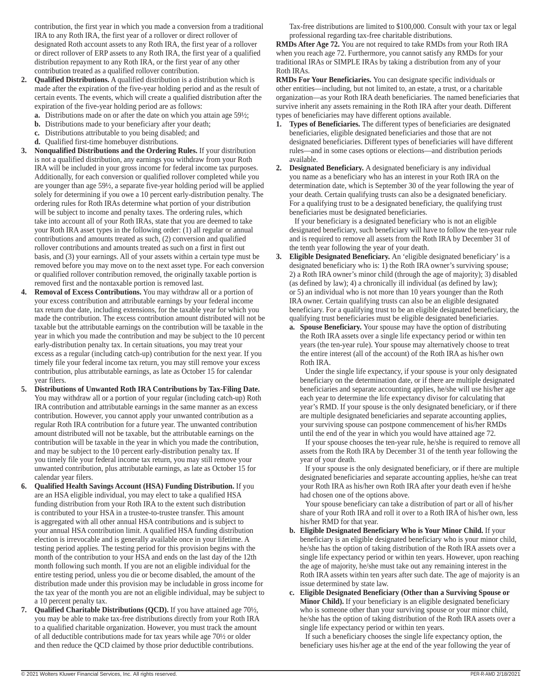contribution, the first year in which you made a conversion from a traditional IRA to any Roth IRA, the first year of a rollover or direct rollover of designated Roth account assets to any Roth IRA, the first year of a rollover or direct rollover of ERP assets to any Roth IRA, the first year of a qualified distribution repayment to any Roth IRA, or the first year of any other contribution treated as a qualified rollover contribution.

- **2. Qualified Distributions.** A qualified distribution is a distribution which is made after the expiration of the five-year holding period and as the result of certain events. The events, which will create a qualified distribution after the expiration of the five-year holding period are as follows:
	- **a.** Distributions made on or after the date on which you attain age 59½;
	- **b.** Distributions made to your beneficiary after your death;
	- **c.** Distributions attributable to you being disabled; and
	- **d.** Qualified first-time homebuyer distributions.
- **3. Nonqualified Distributions and the Ordering Rules.** If your distribution is not a qualified distribution, any earnings you withdraw from your Roth IRA will be included in your gross income for federal income tax purposes. Additionally, for each conversion or qualified rollover completed while you are younger than age 59½, a separate five-year holding period will be applied solely for determining if you owe a 10 percent early-distribution penalty. The ordering rules for Roth IRAs determine what portion of your distribution will be subject to income and penalty taxes. The ordering rules, which take into account all of your Roth IRAs, state that you are deemed to take your Roth IRA asset types in the following order: (1) all regular or annual contributions and amounts treated as such, (2) conversion and qualified rollover contributions and amounts treated as such on a first in first out basis, and (3) your earnings. All of your assets within a certain type must be removed before you may move on to the next asset type. For each conversion or qualified rollover contribution removed, the originally taxable portion is removed first and the nontaxable portion is removed last.
- **4. Removal of Excess Contributions.** You may withdraw all or a portion of your excess contribution and attributable earnings by your federal income tax return due date, including extensions, for the taxable year for which you made the contribution. The excess contribution amount distributed will not be taxable but the attributable earnings on the contribution will be taxable in the year in which you made the contribution and may be subject to the 10 percent early-distribution penalty tax. In certain situations, you may treat your excess as a regular (including catch-up) contribution for the next year. If you timely file your federal income tax return, you may still remove your excess contribution, plus attributable earnings, as late as October 15 for calendar year filers.
- **5. Distributions of Unwanted Roth IRA Contributions by Tax-Filing Date.** You may withdraw all or a portion of your regular (including catch-up) Roth IRA contribution and attributable earnings in the same manner as an excess contribution. However, you cannot apply your unwanted contribution as a regular Roth IRA contribution for a future year. The unwanted contribution amount distributed will not be taxable, but the attributable earnings on the contribution will be taxable in the year in which you made the contribution, and may be subject to the 10 percent early-distribution penalty tax. If you timely file your federal income tax return, you may still remove your unwanted contribution, plus attributable earnings, as late as October 15 for calendar year filers.
- **6. Qualified Health Savings Account (HSA) Funding Distribution.** If you are an HSA eligible individual, you may elect to take a qualified HSA funding distribution from your Roth IRA to the extent such distribution is contributed to your HSA in a trustee-to-trustee transfer. This amount is aggregated with all other annual HSA contributions and is subject to your annual HSA contribution limit. A qualified HSA funding distribution election is irrevocable and is generally available once in your lifetime. A testing period applies. The testing period for this provision begins with the month of the contribution to your HSA and ends on the last day of the 12th month following such month. If you are not an eligible individual for the entire testing period, unless you die or become disabled, the amount of the distribution made under this provision may be includable in gross income for the tax year of the month you are not an eligible individual, may be subject to a 10 percent penalty tax.
- **7. Qualified Charitable Distributions (QCD).** If you have attained age 70½, you may be able to make tax-free distributions directly from your Roth IRA to a qualified charitable organization. However, you must track the amount of all deductible contributions made for tax years while age 70½ or older and then reduce the QCD claimed by those prior deductible contributions.

Tax-free distributions are limited to \$100,000. Consult with your tax or legal professional regarding tax-free charitable distributions.

**RMDs After Age 72.** You are not required to take RMDs from your Roth IRA when you reach age 72. Furthermore, you cannot satisfy any RMDs for your traditional IRAs or SIMPLE IRAs by taking a distribution from any of your Roth IRAs.

**RMDs For Your Beneficiaries.** You can designate specific individuals or other entities—including, but not limited to, an estate, a trust, or a charitable organization—as your Roth IRA death beneficiaries. The named beneficiaries that survive inherit any assets remaining in the Roth IRA after your death. Different types of beneficiaries may have different options available.

- **1. Types of Beneficiaries.** The different types of beneficiaries are designated beneficiaries, eligible designated beneficiaries and those that are not designated beneficiaries. Different types of beneficiaries will have different rules—and in some cases options or elections—and distribution periods available.
- **2. Designated Beneficiary.** A designated beneficiary is any individual you name as a beneficiary who has an interest in your Roth IRA on the determination date, which is September 30 of the year following the year of your death. Certain qualifying trusts can also be a designated beneficiary. For a qualifying trust to be a designated beneficiary, the qualifying trust beneficiaries must be designated beneficiaries.

If your beneficiary is a designated beneficiary who is not an eligible designated beneficiary, such beneficiary will have to follow the ten-year rule and is required to remove all assets from the Roth IRA by December 31 of the tenth year following the year of your death.

- **3. Eligible Designated Beneficiary.** An 'eligible designated beneficiary' is a designated beneficiary who is: 1) the Roth IRA owner's surviving spouse; 2) a Roth IRA owner's minor child (through the age of majority); 3) disabled (as defined by law); 4) a chronically ill individual (as defined by law); or 5) an individual who is not more than 10 years younger than the Roth IRA owner. Certain qualifying trusts can also be an eligible designated beneficiary. For a qualifying trust to be an eligible designated beneficiary, the qualifying trust beneficiaries must be eligible designated beneficiaries.
	- **a. Spouse Beneficiary.** Your spouse may have the option of distributing the Roth IRA assets over a single life expectancy period or within ten years (the ten-year rule). Your spouse may alternatively choose to treat the entire interest (all of the account) of the Roth IRA as his/her own Roth IRA.

Under the single life expectancy, if your spouse is your only designated beneficiary on the determination date, or if there are multiple designated beneficiaries and separate accounting applies, he/she will use his/her age each year to determine the life expectancy divisor for calculating that year's RMD. If your spouse is the only designated beneficiary, or if there are multiple designated beneficiaries and separate accounting applies, your surviving spouse can postpone commencement of his/her RMDs until the end of the year in which you would have attained age 72.

If your spouse chooses the ten-year rule, he/she is required to remove all assets from the Roth IRA by December 31 of the tenth year following the year of your death.

If your spouse is the only designated beneficiary, or if there are multiple designated beneficiaries and separate accounting applies, he/she can treat your Roth IRA as his/her own Roth IRA after your death even if he/she had chosen one of the options above.

Your spouse beneficiary can take a distribution of part or all of his/her share of your Roth IRA and roll it over to a Roth IRA of his/her own, less his/her RMD for that year.

- **b. Eligible Designated Beneficiary Who is Your Minor Child.** If your beneficiary is an eligible designated beneficiary who is your minor child, he/she has the option of taking distribution of the Roth IRA assets over a single life expectancy period or within ten years. However, upon reaching the age of majority, he/she must take out any remaining interest in the Roth IRA assets within ten years after such date. The age of majority is an issue determined by state law.
- **c. Eligible Designated Beneficiary (Other than a Surviving Spouse or Minor Child).** If your beneficiary is an eligible designated beneficiary who is someone other than your surviving spouse or your minor child, he/she has the option of taking distribution of the Roth IRA assets over a single life expectancy period or within ten years.

If such a beneficiary chooses the single life expectancy option, the beneficiary uses his/her age at the end of the year following the year of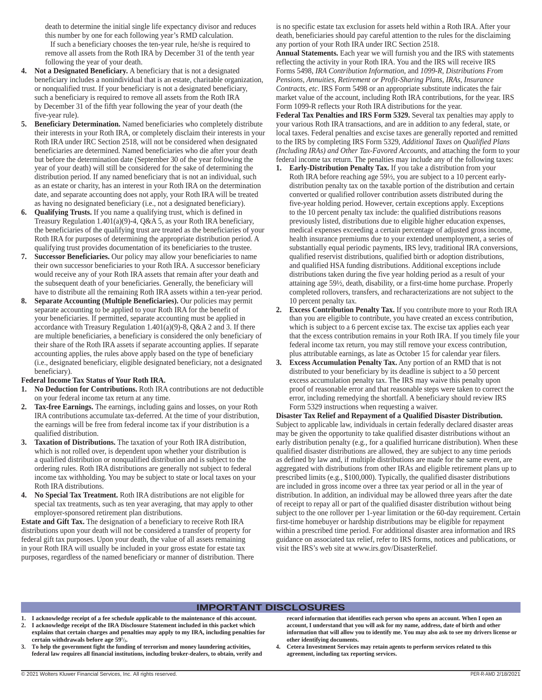death to determine the initial single life expectancy divisor and reduces this number by one for each following year's RMD calculation. If such a beneficiary chooses the ten-year rule, he/she is required to remove all assets from the Roth IRA by December 31 of the tenth year following the year of your death.

- **4. Not a Designated Beneficiary.** A beneficiary that is not a designated beneficiary includes a nonindividual that is an estate, charitable organization, or nonqualified trust. If your beneficiary is not a designated beneficiary, such a beneficiary is required to remove all assets from the Roth IRA by December 31 of the fifth year following the year of your death (the five-year rule).
- **5. Beneficiary Determination.** Named beneficiaries who completely distribute their interests in your Roth IRA, or completely disclaim their interests in your Roth IRA under IRC Section 2518, will not be considered when designated beneficiaries are determined. Named beneficiaries who die after your death but before the determination date (September 30 of the year following the year of your death) will still be considered for the sake of determining the distribution period. If any named beneficiary that is not an individual, such as an estate or charity, has an interest in your Roth IRA on the determination date, and separate accounting does not apply, your Roth IRA will be treated as having no designated beneficiary (i.e., not a designated beneficiary).
- **6. Qualifying Trusts.** If you name a qualifying trust, which is defined in Treasury Regulation 1.401(a)(9)-4, Q&A 5, as your Roth IRA beneficiary, the beneficiaries of the qualifying trust are treated as the beneficiaries of your Roth IRA for purposes of determining the appropriate distribution period. A qualifying trust provides documentation of its beneficiaries to the trustee.
- *Successor Beneficiaries.* Our policy may allow your beneficiaries to name their own successor beneficiaries to your Roth IRA. A successor beneficiary would receive any of your Roth IRA assets that remain after your death and the subsequent death of your beneficiaries. Generally, the beneficiary will have to distribute all the remaining Roth IRA assets within a ten-year period.
- **8. Separate Accounting (Multiple Beneficiaries).** Our policies may permit separate accounting to be applied to your Roth IRA for the benefit of your beneficiaries. If permitted, separate accounting must be applied in accordance with Treasury Regulation  $1.401(a)(9)$ -8, Q&A 2 and 3. If there are multiple beneficiaries, a beneficiary is considered the only beneficiary of their share of the Roth IRA assets if separate accounting applies. If separate accounting applies, the rules above apply based on the type of beneficiary (i.e., designated beneficiary, eligible designated beneficiary, not a designated beneficiary).

#### **Federal Income Tax Status of Your Roth IRA.**

- **1. No Deduction for Contributions.** Roth IRA contributions are not deductible on your federal income tax return at any time.
- **2. Tax-free Earnings.** The earnings, including gains and losses, on your Roth IRA contributions accumulate tax-deferred. At the time of your distribution, the earnings will be free from federal income tax if your distribution is a qualified distribution.
- **3. Taxation of Distributions.** The taxation of your Roth IRA distribution, which is not rolled over, is dependent upon whether your distribution is a qualified distribution or nonqualified distribution and is subject to the ordering rules. Roth IRA distributions are generally not subject to federal income tax withholding. You may be subject to state or local taxes on your Roth IRA distributions.
- **4. No Special Tax Treatment.** Roth IRA distributions are not eligible for special tax treatments, such as ten year averaging, that may apply to other employer-sponsored retirement plan distributions.

**Estate and Gift Tax.** The designation of a beneficiary to receive Roth IRA distributions upon your death will not be considered a transfer of property for federal gift tax purposes. Upon your death, the value of all assets remaining in your Roth IRA will usually be included in your gross estate for estate tax purposes, regardless of the named beneficiary or manner of distribution. There is no specific estate tax exclusion for assets held within a Roth IRA. After your death, beneficiaries should pay careful attention to the rules for the disclaiming any portion of your Roth IRA under IRC Section 2518.

**Annual Statements.** Each year we will furnish you and the IRS with statements reflecting the activity in your Roth IRA. You and the IRS will receive IRS Forms 5498, *IRA Contribution Information*, and *1099-R, Distributions From Pensions, Annuities, Retirement or Profit-Sharing Plans, IRAs, Insurance Contracts, etc*. IRS Form 5498 or an appropriate substitute indicates the fair market value of the account, including Roth IRA contributions, for the year. IRS Form 1099-R reflects your Roth IRA distributions for the year.

**Federal Tax Penalties and IRS Form 5329.** Several tax penalties may apply to your various Roth IRA transactions, and are in addition to any federal, state, or local taxes. Federal penalties and excise taxes are generally reported and remitted to the IRS by completing IRS Form 5329, *Additional Taxes on Qualified Plans (Including IRAs) and Other Tax-Favored Accounts,* and attaching the form to your federal income tax return. The penalties may include any of the following taxes:

- **1. Early-Distribution Penalty Tax.** If you take a distribution from your Roth IRA before reaching age 59½, you are subject to a 10 percent earlydistribution penalty tax on the taxable portion of the distribution and certain converted or qualified rollover contribution assets distributed during the five-year holding period. However, certain exceptions apply. Exceptions to the 10 percent penalty tax include: the qualified distributions reasons previously listed, distributions due to eligible higher education expenses, medical expenses exceeding a certain percentage of adjusted gross income, health insurance premiums due to your extended unemployment, a series of substantially equal periodic payments, IRS levy, traditional IRA conversions, qualified reservist distributions, qualified birth or adoption distributions, and qualified HSA funding distributions. Additional exceptions include distributions taken during the five year holding period as a result of your attaining age 59½, death, disability, or a first-time home purchase. Properly completed rollovers, transfers, and recharacterizations are not subject to the 10 percent penalty tax.
- **2. Excess Contribution Penalty Tax.** If you contribute more to your Roth IRA than you are eligible to contribute, you have created an excess contribution, which is subject to a 6 percent excise tax. The excise tax applies each year that the excess contribution remains in your Roth IRA. If you timely file your federal income tax return, you may still remove your excess contribution, plus attributable earnings, as late as October 15 for calendar year filers.
- **3. Excess Accumulation Penalty Tax.** Any portion of an RMD that is not distributed to your beneficiary by its deadline is subject to a 50 percent excess accumulation penalty tax. The IRS may waive this penalty upon proof of reasonable error and that reasonable steps were taken to correct the error, including remedying the shortfall. A beneficiary should review IRS Form 5329 instructions when requesting a waiver.

**Disaster Tax Relief and Repayment of a Qualified Disaster Distribution.** Subject to applicable law, individuals in certain federally declared disaster areas may be given the opportunity to take qualified disaster distributions without an early distribution penalty (e.g., for a qualified hurricane distribution). When these qualified disaster distributions are allowed, they are subject to any time periods as defined by law and, if multiple distributions are made for the same event, are aggregated with distributions from other IRAs and eligible retirement plans up to prescribed limits (e.g., \$100,000). Typically, the qualified disaster distributions are included in gross income over a three tax year period or all in the year of distribution. In addition, an individual may be allowed three years after the date of receipt to repay all or part of the qualified disaster distribution without being subject to the one rollover per 1-year limitation or the 60-day requirement. Certain first-time homebuyer or hardship distributions may be eligible for repayment within a prescribed time period. For additional disaster area information and IRS guidance on associated tax relief, refer to IRS forms, notices and publications, or visit the IRS's web site at www.irs.gov/DisasterRelief.

## **IMPORTANT DISCLOSURES**

- **1. I acknowledge receipt of a fee schedule applicable to the maintenance of this account.**
- **2. I acknowledge receipt of the IRA Disclosure Statement included in this packet which explains that certain charges and penalties may apply to my IRA, including penalties for certain withdrawals before age 591 /2.**
- **3. To help the government fight the funding of terrorism and money laundering activities, federal law requires all financial institutions, including broker-dealers, to obtain, verify and**

**record information that identifies each person who opens an account. When I open an account, I understand that you will ask for my name, address, date of birth and other information that will allow you to identify me. You may also ask to see my drivers license or other identifying documents.**

**4. Cetera Investment Services may retain agents to perform services related to this agreement, including tax reporting services.**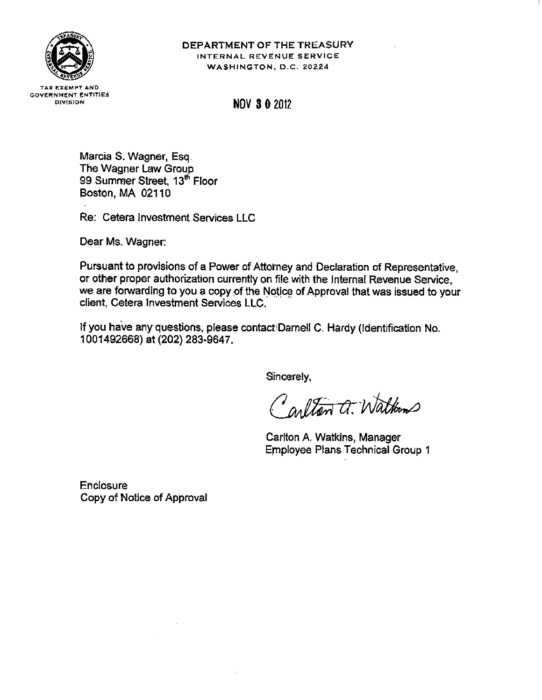

## DEPARTMENT OF THE TREASURY INTERNAL REVENUE SERVICE WASHINGTON, D.C. 20224

**TAX EXEMPT AND GOVERNMENT ENTITIES** DIVISION

**NOV 3 0 2012** 

Marcia S. Wagner, Esq. The Wagner Law Group 99 Summer Street, 13<sup>th</sup> Floor Boston, MA 02110

Re: Cetera Investment Services LLC

Dear Ms. Wagner:

Pursuant to provisions of a Power of Attorney and Declaration of Representative, or other proper authorization currently on file with the Internal Revenue Service. we are forwarding to you a copy of the Notice of Approval that was issued to your client, Cetera Investment Services LLC.

If you have any questions, please contact Darnell C. Hardy (Identification No. 1001492668) at (202) 283-9647.

Sincerely,

Carlton a. Waltons

Carlton A. Watkins, Manager **Employee Plans Technical Group 1** 

**Enclosure** Copy of Notice of Approval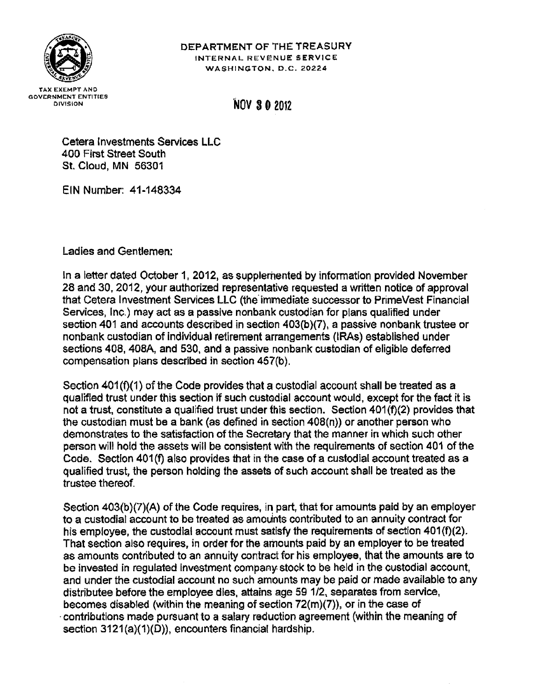

## DEPARTMENT OF THE TREASURY INTERNAL REVENUE SERVICE WASHINGTON, D.C. 20224

# **NOV 30 2012**

Cetera Investments Services LLC 400 First Street South St. Cloud, MN 56301

EIN Number: 41-148334

Ladies and Gentlemen:

In a letter dated October 1, 2012, as supplemented by information provided November 28 and 30, 2012, your authorized representative requested a written notice of approval that Cetera Investment Services LLC (the immediate successor to PrimeVest Financial Services, Inc.) may act as a passive nonbank custodian for plans qualified under section 401 and accounts described in section 403(b)(7), a passive nonbank trustee or nonbank custodian of individual retirement arrangements (IRAs) established under sections 408, 408A, and 530, and a passive nonbank custodian of eligible deferred compensation plans described in section 457(b).

Section 401(f)(1) of the Code provides that a custodial account shall be treated as a qualified trust under this section if such custodial account would, except for the fact it is not a trust, constitute a qualified trust under this section. Section 401(f)(2) provides that the custodian must be a bank (as defined in section 408(n)) or another person who demonstrates to the satisfaction of the Secretary that the manner in which such other person will hold the assets will be consistent with the requirements of section 401 of the Code. Section 401(f) also provides that in the case of a custodial account treated as a qualified trust, the person holding the assets of such account shall be treated as the trustee thereof.

Section 403(b)(7)(A) of the Code requires, in part, that for amounts paid by an employer to a custodial account to be treated as amounts contributed to an annuity contract for his employee, the custodial account must satisfy the requirements of section 401(f)(2). That section also requires, in order for the amounts paid by an employer to be treated as amounts contributed to an annuity contract for his employee, that the amounts are to be invested in regulated investment company stock to be held in the custodial account, and under the custodial account no such amounts may be paid or made available to any distributee before the employee dies, attains age 59 1/2, separates from service, becomes disabled (within the meaning of section  $72(m)(7)$ ), or in the case of contributions made pursuant to a salary reduction agreement (within the meaning of section 3121(a)(1)(D)), encounters financial hardship.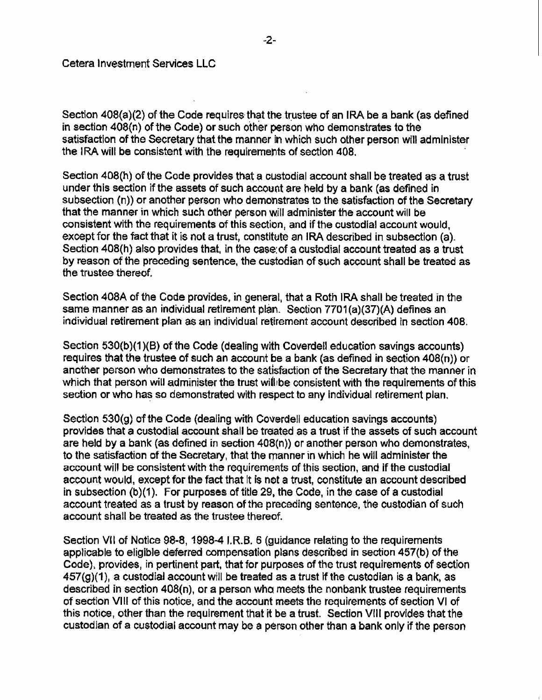Section 408(a)(2) of the Code requires that the trustee of an IRA be a bank (as defined in section 408(n) of the Code) or such other person who demonstrates to the satisfaction of the Secretary that the manner in which such other person will administer the IRA will be consistent with the requirements of section 408.

Section 408(h) of the Code provides that a custodial account shall be treated as a trust under this section if the assets of such account are held by a bank (as defined in subsection (n)) or another person who demonstrates to the satisfaction of the Secretary that the manner in which such other person will administer the account will be consistent with the requirements of this section, and if the custodial account would, except for the fact that it is not a trust, constitute an IRA described in subsection (a). Section 408(h) also provides that, in the case of a custodial account treated as a trust by reason of the preceding sentence, the custodian of such account shall be treated as the trustee thereof.

Section 408A of the Code provides, in general, that a Roth IRA shall be treated in the same manner as an individual retirement plan. Section 7701(a)(37)(A) defines an individual retirement plan as an individual retirement account described in section 408.

Section 530(b)(1)(B) of the Code (dealing with Coverdell education savings accounts) requires that the trustee of such an account be a bank (as defined in section  $408(n)$ ) or another person who demonstrates to the satisfaction of the Secretary that the manner in which that person will administer the trust will be consistent with the requirements of this section or who has so demonstrated with respect to any individual retirement plan.

Section 530(g) of the Code (dealing with Coverdell education savings accounts) provides that a custodial account shall be treated as a trust if the assets of such account are held by a bank (as defined in section 408(n)) or another person who demonstrates, to the satisfaction of the Secretary, that the manner in which he will administer the account will be consistent with the requirements of this section, and if the custodial account would, except for the fact that it is not a trust, constitute an account described in subsection (b)(1). For purposes of title 29, the Code, in the case of a custodial account treated as a trust by reason of the preceding sentence, the custodian of such account shall be treated as the trustee thereof.

Section VII of Notice 98-8, 1998-4 I.R.B. 6 (guidance relating to the requirements applicable to eligible deferred compensation plans described in section 457(b) of the Code), provides, in pertinent part, that for purposes of the trust requirements of section  $457(g)(1)$ , a custodial account will be treated as a trust if the custodian is a bank, as described in section 408(n), or a person who meets the nonbank trustee requirements of section VIII of this notice, and the account meets the requirements of section VI of this notice, other than the requirement that it be a trust. Section VIII provides that the custodian of a custodial account may be a person other than a bank only if the person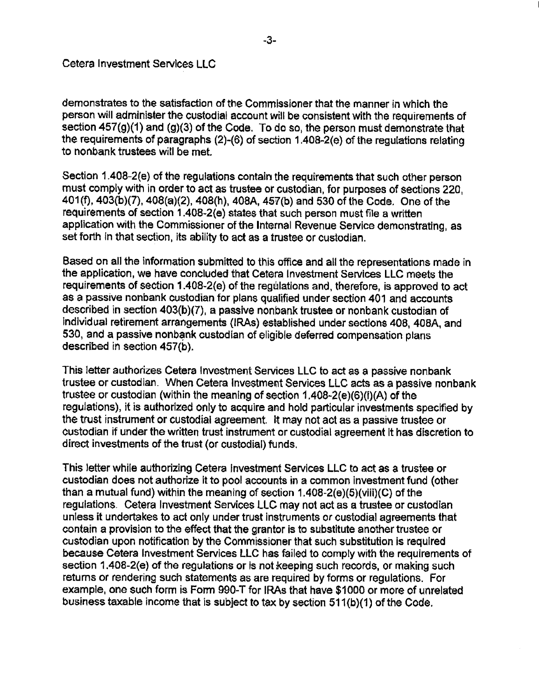demonstrates to the satisfaction of the Commissioner that the manner in which the person will administer the custodial account will be consistent with the requirements of section 457(g)(1) and (g)(3) of the Code. To do so, the person must demonstrate that the requirements of paragraphs (2)-(6) of section 1.408-2(e) of the regulations relating to nonbank trustees will be met.

Section 1.408-2(e) of the regulations contain the requirements that such other person must comply with in order to act as trustee or custodian, for purposes of sections 220. 401(f), 403(b)(7), 408(a)(2), 408(h), 408A, 457(b) and 530 of the Code. One of the requirements of section 1.408-2(e) states that such person must file a written application with the Commissioner of the Internal Revenue Service demonstrating, as set forth in that section, its ability to act as a trustee or custodian.

Based on all the information submitted to this office and all the representations made in the application, we have concluded that Cetera Investment Services LLC meets the requirements of section 1.408-2(e) of the regulations and, therefore, is approved to act as a passive nonbank custodian for plans qualified under section 401 and accounts described in section 403(b)(7), a passive nonbank trustee or nonbank custodian of individual retirement arrangements (IRAs) established under sections 408, 408A, and 530, and a passive nonbank custodian of eligible deferred compensation plans described in section 457(b).

This letter authorizes Cetera Investment Services LLC to act as a passive nonbank trustee or custodian. When Cetera Investment Services LLC acts as a passive nonbank trustee or custodian (within the meaning of section 1.408-2(e)(6)(i)(A) of the regulations), it is authorized only to acquire and hold particular investments specified by the trust instrument or custodial agreement. It may not act as a passive trustee or custodian if under the written trust instrument or custodial agreement it has discretion to direct investments of the trust (or custodial) funds.

This letter while authorizing Cetera Investment Services LLC to act as a trustee or custodian does not authorize it to pool accounts in a common investment fund (other than a mutual fund) within the meaning of section 1.408-2(e)(5)(viii)(C) of the regulations. Cetera Investment Services LLC may not act as a trustee or custodian unless it undertakes to act only under trust instruments or custodial agreements that contain a provision to the effect that the grantor is to substitute another trustee or custodian upon notification by the Commissioner that such substitution is required because Cetera Investment Services LLC has failed to comply with the requirements of section 1.408-2(e) of the regulations or is not keeping such records, or making such returns or rendering such statements as are required by forms or regulations. For example, one such form is Form 990-T for IRAs that have \$1000 or more of unrelated business taxable income that is subject to tax by section 511(b)(1) of the Code.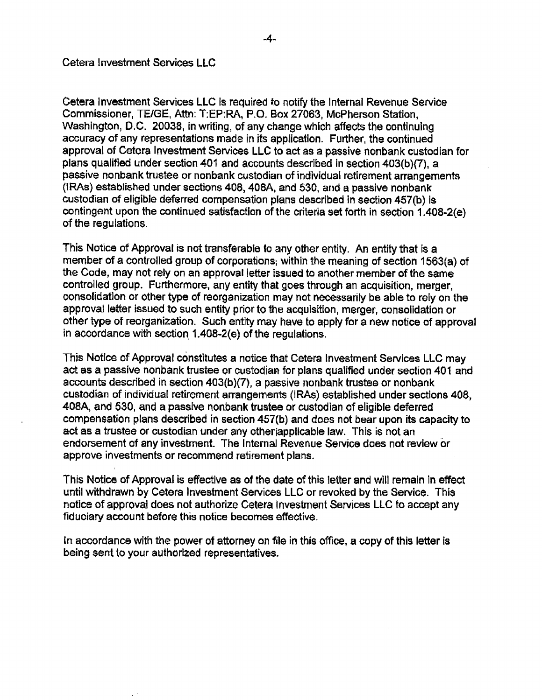Cetera Investment Services LLC is required to notify the Internal Revenue Service Commissioner, TE/GE, Attn: T:EP:RA, P.O. Box 27063, McPherson Station, Washington, D.C. 20038, in writing, of any change which affects the continuing accuracy of any representations made in its application. Further, the continued approval of Cetera Investment Services LLC to act as a passive nonbank custodian for plans qualified under section 401 and accounts described in section 403(b)(7), a passive nonbank trustee or nonbank custodian of individual retirement arrangements (IRAs) established under sections 408, 408A, and 530, and a passive nonbank custodian of eligible deferred compensation plans described in section 457(b) is contingent upon the continued satisfaction of the criteria set forth in section 1.408-2(e) of the regulations.

This Notice of Approval is not transferable to any other entity. An entity that is a member of a controlled group of corporations, within the meaning of section 1563(a) of the Code, may not rely on an approval letter issued to another member of the same controlled group. Furthermore, any entity that goes through an acquisition, merger, consolidation or other type of reorganization may not necessarily be able to rely on the approval letter issued to such entity prior to the acquisition, merger, consolidation or other type of reorganization. Such entity may have to apply for a new notice of approval in accordance with section 1.408-2(e) of the regulations.

This Notice of Approval constitutes a notice that Cetera Investment Services LLC may act as a passive nonbank trustee or custodian for plans qualified under section 401 and accounts described in section 403(b)(7), a passive nonbank trustee or nonbank custodian of individual retirement arrangements (IRAs) established under sections 408, 408A, and 530, and a passive nonbank trustee or custodian of eligible deferred compensation plans described in section 457(b) and does not bear upon its capacity to act as a trustee or custodian under any other applicable law. This is not an endorsement of any investment. The Internal Revenue Service does not review or approve investments or recommend retirement plans.

This Notice of Approval is effective as of the date of this letter and will remain in effect until withdrawn by Cetera Investment Services LLC or revoked by the Service. This notice of approval does not authorize Cetera Investment Services LLC to accept any fiduciary account before this notice becomes effective.

In accordance with the power of attorney on file in this office, a copy of this letter is being sent to your authorized representatives.